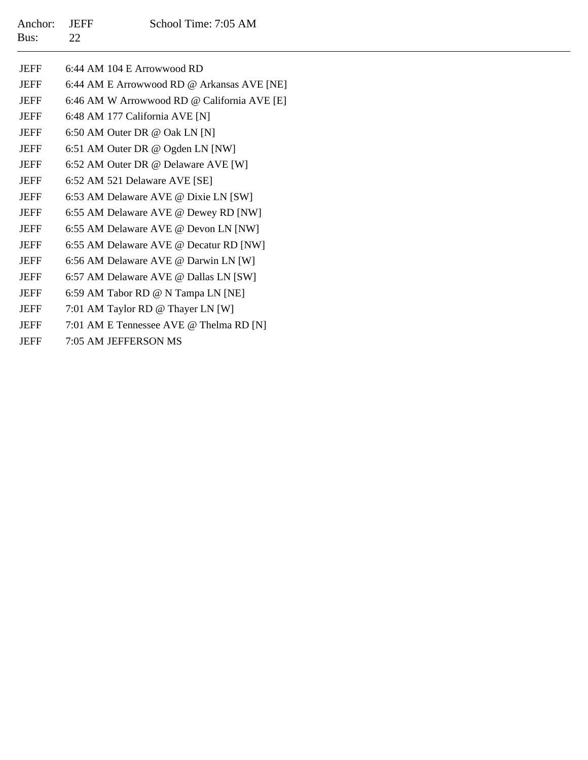| <b>JEFF</b> | 6:44 AM 104 E Arrowwood RD                  |
|-------------|---------------------------------------------|
| <b>JEFF</b> | 6:44 AM E Arrowwood RD @ Arkansas AVE [NE]  |
| <b>JEFF</b> | 6:46 AM W Arrowwood RD @ California AVE [E] |
| <b>JEFF</b> | 6:48 AM 177 California AVE [N]              |
| <b>JEFF</b> | 6:50 AM Outer DR @ Oak LN [N]               |
| <b>JEFF</b> | 6:51 AM Outer DR @ Ogden LN [NW]            |
| <b>JEFF</b> | 6:52 AM Outer DR @ Delaware AVE [W]         |
| <b>JEFF</b> | 6:52 AM 521 Delaware AVE [SE]               |
| <b>JEFF</b> | 6:53 AM Delaware AVE @ Dixie LN [SW]        |
| <b>JEFF</b> | 6:55 AM Delaware AVE @ Dewey RD [NW]        |
| <b>JEFF</b> | 6:55 AM Delaware AVE @ Devon LN [NW]        |
| <b>JEFF</b> | 6:55 AM Delaware AVE @ Decatur RD [NW]      |
| <b>JEFF</b> | 6:56 AM Delaware AVE @ Darwin LN [W]        |
| <b>JEFF</b> | 6:57 AM Delaware AVE @ Dallas LN [SW]       |
| <b>JEFF</b> | 6:59 AM Tabor RD @ N Tampa LN [NE]          |
| <b>JEFF</b> | 7:01 AM Taylor RD @ Thayer LN [W]           |
| <b>JEFF</b> | 7:01 AM E Tennessee AVE @ Thelma RD [N]     |
| <b>JEFF</b> | 7:05 AM JEFFERSON MS                        |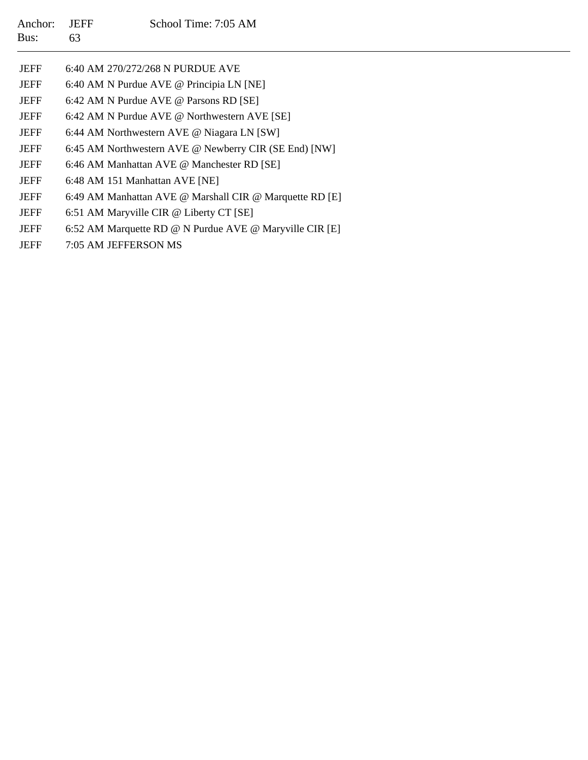- JEFF6:40 AM 270/272/268 N PURDUE AVE
- JEFF6:40 AM N Purdue AVE @ Principia LN [NE]
- JEFF6:42 AM N Purdue AVE @ Parsons RD [SE]
- **JEFF** 6:42 AM N Purdue AVE @ Northwestern AVE [SE]
- JEFF6:44 AM Northwestern AVE @ Niagara LN [SW]
- JEFF6:45 AM Northwestern AVE @ Newberry CIR (SE End) [NW]
- JEFF6:46 AM Manhattan AVE @ Manchester RD [SE]
- **JEFF** 6:48 AM 151 Manhattan AVE [NE]
- JEFF6:49 AM Manhattan AVE @ Marshall CIR @ Marquette RD [E]
- JEFF6:51 AM Maryville CIR @ Liberty CT [SE]
- **JEFF** 6:52 AM Marquette RD @ N Purdue AVE @ Maryville CIR [E]
- **JEFF** 7:05 AM JEFFERSON MS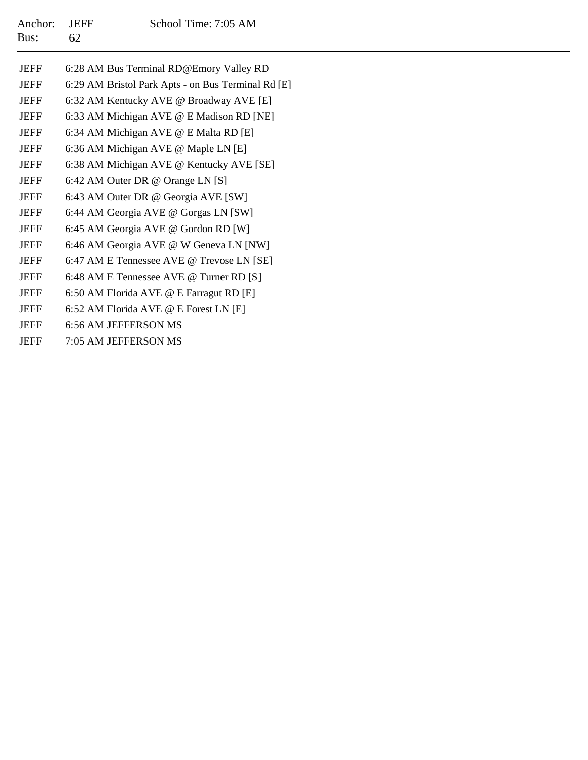| JEFF        | 6:28 AM Bus Terminal RD@Emory Valley RD            |
|-------------|----------------------------------------------------|
| <b>JEFF</b> | 6:29 AM Bristol Park Apts - on Bus Terminal Rd [E] |
| <b>JEFF</b> | 6:32 AM Kentucky AVE @ Broadway AVE [E]            |
| <b>JEFF</b> | 6:33 AM Michigan AVE @ E Madison RD [NE]           |
| JEFF        | 6:34 AM Michigan AVE @ E Malta RD [E]              |
| <b>JEFF</b> | 6:36 AM Michigan AVE @ Maple LN [E]                |
| <b>JEFF</b> | 6:38 AM Michigan AVE @ Kentucky AVE [SE]           |
| <b>JEFF</b> | 6:42 AM Outer DR @ Orange LN [S]                   |
| <b>JEFF</b> | 6:43 AM Outer DR @ Georgia AVE [SW]                |
| <b>JEFF</b> | 6:44 AM Georgia AVE @ Gorgas LN [SW]               |
| <b>JEFF</b> | 6:45 AM Georgia AVE @ Gordon RD [W]                |
| JEFF        | 6:46 AM Georgia AVE @ W Geneva LN [NW]             |
| <b>JEFF</b> | 6:47 AM E Tennessee AVE @ Trevose LN [SE]          |
| JEFF        | 6:48 AM E Tennessee AVE @ Turner RD [S]            |
| JEFF        | 6:50 AM Florida AVE @ E Farragut RD [E]            |
| <b>JEFF</b> | 6:52 AM Florida AVE @ E Forest LN [E]              |
| <b>JEFF</b> | 6:56 AM JEFFERSON MS                               |
| <b>JEFF</b> | 7:05 AM JEFFERSON MS                               |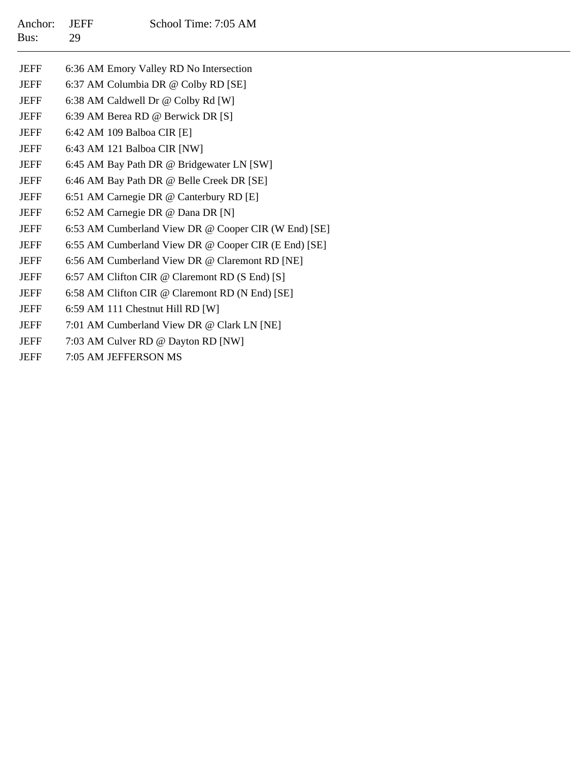| Anchor:<br>Bus: | <b>JEFF</b><br>29                                    | School Time: 7:05 AM                                 |  |  |  |
|-----------------|------------------------------------------------------|------------------------------------------------------|--|--|--|
| <b>JEFF</b>     |                                                      | 6:36 AM Emory Valley RD No Intersection              |  |  |  |
| <b>JEFF</b>     |                                                      | 6:37 AM Columbia DR @ Colby RD [SE]                  |  |  |  |
| <b>JEFF</b>     |                                                      | 6:38 AM Caldwell Dr @ Colby Rd [W]                   |  |  |  |
| <b>JEFF</b>     |                                                      | 6:39 AM Berea RD @ Berwick DR [S]                    |  |  |  |
| <b>JEFF</b>     |                                                      | 6:42 AM 109 Balboa CIR [E]                           |  |  |  |
| <b>JEFF</b>     |                                                      | 6:43 AM 121 Balboa CIR [NW]                          |  |  |  |
| <b>JEFF</b>     |                                                      | 6:45 AM Bay Path DR @ Bridgewater LN [SW]            |  |  |  |
| <b>JEFF</b>     |                                                      | 6:46 AM Bay Path DR @ Belle Creek DR [SE]            |  |  |  |
| <b>JEFF</b>     |                                                      | 6:51 AM Carnegie DR @ Canterbury RD [E]              |  |  |  |
| <b>JEFF</b>     |                                                      | 6:52 AM Carnegie DR @ Dana DR [N]                    |  |  |  |
| <b>JEFF</b>     | 6:53 AM Cumberland View DR @ Cooper CIR (W End) [SE] |                                                      |  |  |  |
| <b>JEFF</b>     |                                                      | 6:55 AM Cumberland View DR @ Cooper CIR (E End) [SE] |  |  |  |
| <b>JEFF</b>     |                                                      | 6:56 AM Cumberland View DR @ Claremont RD [NE]       |  |  |  |
| <b>JEFF</b>     |                                                      | 6:57 AM Clifton CIR @ Claremont RD (S End) [S]       |  |  |  |
| <b>JEFF</b>     |                                                      | 6:58 AM Clifton CIR @ Claremont RD (N End) [SE]      |  |  |  |
| <b>JEFF</b>     |                                                      | 6:59 AM 111 Chestnut Hill RD [W]                     |  |  |  |
| <b>JEFF</b>     |                                                      | 7:01 AM Cumberland View DR @ Clark LN [NE]           |  |  |  |
| <b>JEFF</b>     |                                                      | 7:03 AM Culver RD @ Dayton RD [NW]                   |  |  |  |
| <b>JEFF</b>     |                                                      | 7:05 AM JEFFERSON MS                                 |  |  |  |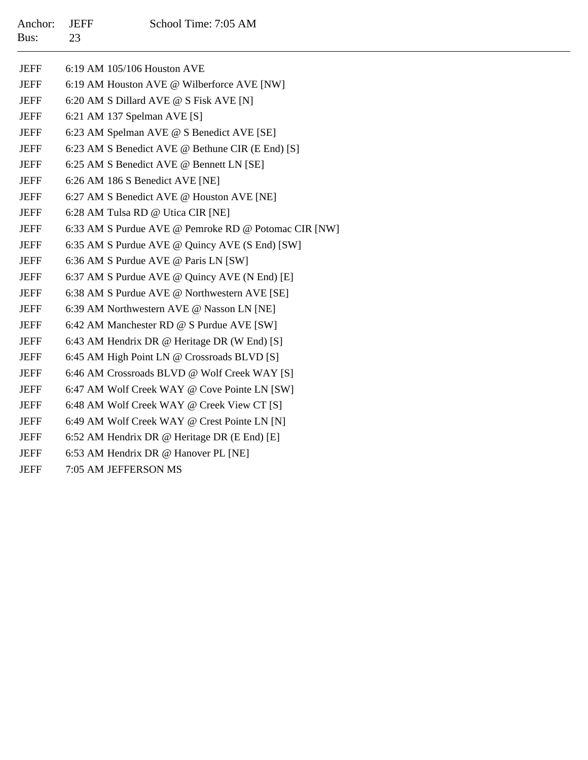| Anchor: JEFF |    | School Time: 7:05 AM |
|--------------|----|----------------------|
| Bus:         | 23 |                      |

| <b>JEFF</b> | 6:19 AM 105/106 Houston AVE                          |
|-------------|------------------------------------------------------|
| JEFF        | 6:19 AM Houston AVE @ Wilberforce AVE [NW]           |
| <b>JEFF</b> | 6:20 AM S Dillard AVE @ S Fisk AVE [N]               |
| <b>JEFF</b> | 6:21 AM 137 Spelman AVE [S]                          |
| <b>JEFF</b> | 6:23 AM Spelman AVE @ S Benedict AVE [SE]            |
| <b>JEFF</b> | 6:23 AM S Benedict AVE @ Bethune CIR (E End) [S]     |
| <b>JEFF</b> | 6:25 AM S Benedict AVE @ Bennett LN [SE]             |
| JEFF        | 6:26 AM 186 S Benedict AVE [NE]                      |
| <b>JEFF</b> | 6:27 AM S Benedict AVE @ Houston AVE [NE]            |
| <b>JEFF</b> | 6:28 AM Tulsa RD @ Utica CIR [NE]                    |
| <b>JEFF</b> | 6:33 AM S Purdue AVE @ Pemroke RD @ Potomac CIR [NW] |
| <b>JEFF</b> | 6:35 AM S Purdue AVE @ Quincy AVE (S End) [SW]       |
| JEFF        | 6:36 AM S Purdue AVE @ Paris LN [SW]                 |
| <b>JEFF</b> | 6:37 AM S Purdue AVE @ Quincy AVE (N End) [E]        |
| <b>JEFF</b> | 6:38 AM S Purdue AVE @ Northwestern AVE [SE]         |
| <b>JEFF</b> | 6:39 AM Northwestern AVE @ Nasson LN [NE]            |
| <b>JEFF</b> | 6:42 AM Manchester RD @ S Purdue AVE [SW]            |
| <b>JEFF</b> | 6:43 AM Hendrix DR @ Heritage DR (W End) [S]         |
| <b>JEFF</b> | 6:45 AM High Point LN @ Crossroads BLVD [S]          |
| <b>JEFF</b> | 6:46 AM Crossroads BLVD @ Wolf Creek WAY [S]         |
| <b>JEFF</b> | 6:47 AM Wolf Creek WAY @ Cove Pointe LN [SW]         |
| <b>JEFF</b> | 6:48 AM Wolf Creek WAY @ Creek View CT [S]           |
| <b>JEFF</b> | 6:49 AM Wolf Creek WAY @ Crest Pointe LN [N]         |
| JEFF        | 6:52 AM Hendrix DR @ Heritage DR (E End) [E]         |
| <b>JEFF</b> | 6:53 AM Hendrix DR @ Hanover PL [NE]                 |
|             |                                                      |

JEFF7:05 AM JEFFERSON MS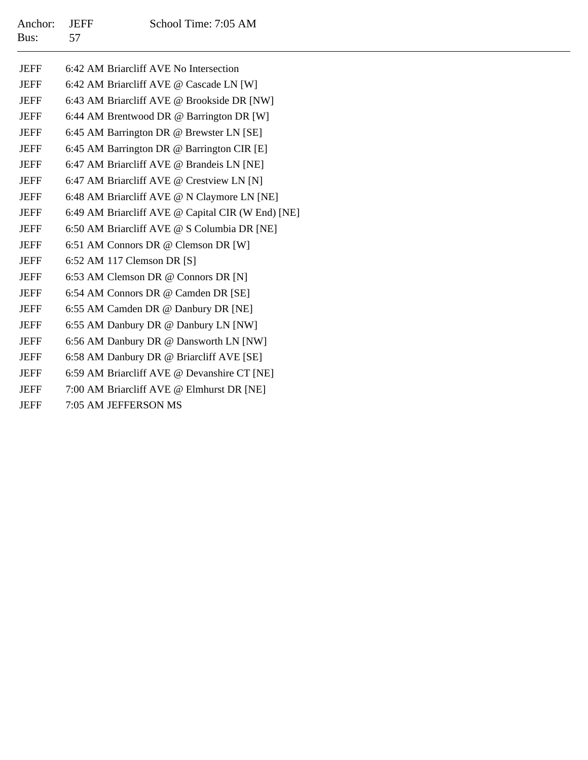| <b>JEFF</b> | 6:42 AM Briarcliff AVE No Intersection            |
|-------------|---------------------------------------------------|
| <b>JEFF</b> | 6:42 AM Briarcliff AVE @ Cascade LN [W]           |
| <b>JEFF</b> | 6:43 AM Briarcliff AVE @ Brookside DR [NW]        |
| <b>JEFF</b> | 6:44 AM Brentwood DR @ Barrington DR [W]          |
| <b>JEFF</b> | 6:45 AM Barrington DR @ Brewster LN [SE]          |
| <b>JEFF</b> | 6:45 AM Barrington DR @ Barrington CIR [E]        |
| <b>JEFF</b> | 6:47 AM Briarcliff AVE @ Brandeis LN [NE]         |
| <b>JEFF</b> | 6:47 AM Briarcliff AVE @ Crestview LN [N]         |
| <b>JEFF</b> | 6:48 AM Briarcliff AVE @ N Claymore LN [NE]       |
| <b>JEFF</b> | 6:49 AM Briarcliff AVE @ Capital CIR (W End) [NE] |
| <b>JEFF</b> | 6:50 AM Briarcliff AVE @ S Columbia DR [NE]       |
| <b>JEFF</b> | 6:51 AM Connors DR @ Clemson DR [W]               |
| <b>JEFF</b> | 6:52 AM 117 Clemson DR [S]                        |
| <b>JEFF</b> | 6:53 AM Clemson DR @ Connors DR [N]               |
| <b>JEFF</b> | 6:54 AM Connors DR @ Camden DR [SE]               |
| <b>JEFF</b> | 6:55 AM Camden DR @ Danbury DR [NE]               |
| <b>JEFF</b> | 6:55 AM Danbury DR @ Danbury LN [NW]              |
| <b>JEFF</b> | 6:56 AM Danbury DR @ Dansworth LN [NW]            |
| <b>JEFF</b> | 6:58 AM Danbury DR @ Briarcliff AVE [SE]          |
| <b>JEFF</b> | 6:59 AM Briarcliff AVE @ Devanshire CT [NE]       |
| <b>JEFF</b> | 7:00 AM Briarcliff AVE @ Elmhurst DR [NE]         |
| <b>JEFF</b> | 7:05 AM JEFFERSON MS                              |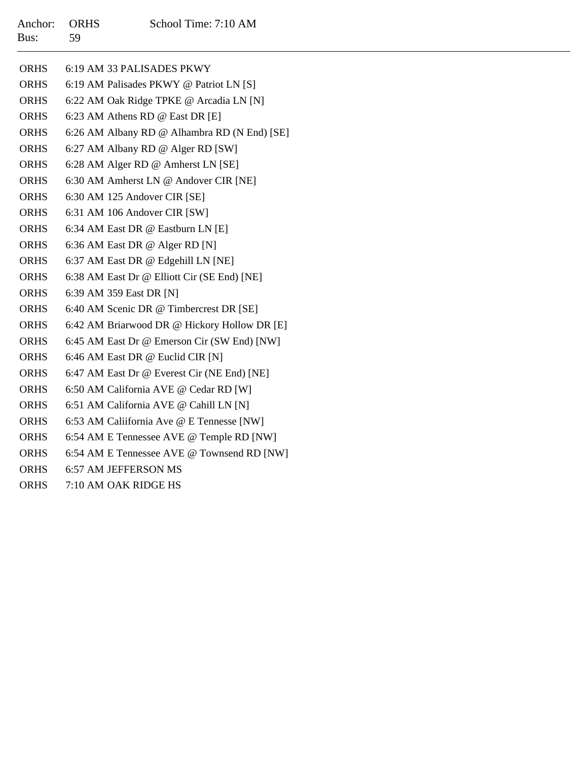| <b>ORHS</b> | 6:19 AM 33 PALISADES PKWY                    |
|-------------|----------------------------------------------|
| <b>ORHS</b> | 6:19 AM Palisades PKWY @ Patriot LN [S]      |
| <b>ORHS</b> | 6:22 AM Oak Ridge TPKE @ Arcadia LN [N]      |
| <b>ORHS</b> | 6:23 AM Athens RD @ East DR [E]              |
| ORHS        | 6:26 AM Albany RD @ Alhambra RD (N End) [SE] |
| <b>ORHS</b> | 6:27 AM Albany RD @ Alger RD [SW]            |
| <b>ORHS</b> | 6:28 AM Alger RD @ Amherst LN [SE]           |
| <b>ORHS</b> | 6:30 AM Amherst LN @ Andover CIR [NE]        |
| <b>ORHS</b> | 6:30 AM 125 Andover CIR [SE]                 |
| ORHS        | 6:31 AM 106 Andover CIR [SW]                 |
| ORHS        | 6:34 AM East DR @ Eastburn LN [E]            |
| ORHS        | 6:36 AM East DR @ Alger RD [N]               |
| <b>ORHS</b> | 6:37 AM East DR @ Edgehill LN [NE]           |
| ORHS        | 6:38 AM East Dr @ Elliott Cir (SE End) [NE]  |
| <b>ORHS</b> | 6:39 AM 359 East DR [N]                      |
| <b>ORHS</b> | 6:40 AM Scenic DR @ Timbercrest DR [SE]      |
| ORHS        | 6:42 AM Briarwood DR @ Hickory Hollow DR [E] |
| ORHS        | 6:45 AM East Dr @ Emerson Cir (SW End) [NW]  |
| ORHS        | 6:46 AM East DR @ Euclid CIR [N]             |
| ORHS        | 6:47 AM East Dr @ Everest Cir (NE End) [NE]  |
| ORHS        | 6:50 AM California AVE @ Cedar RD [W]        |
| <b>ORHS</b> | 6:51 AM California AVE @ Cahill LN [N]       |
| ORHS        | 6:53 AM Caliifornia Ave @ E Tennesse [NW]    |
| ORHS        | 6:54 AM E Tennessee AVE @ Temple RD [NW]     |
| ORHS        | 6:54 AM E Tennessee AVE @ Townsend RD [NW]   |
| <b>ORHS</b> | 6:57 AM JEFFERSON MS                         |
|             |                                              |

ORHS7:10 AM OAK RIDGE HS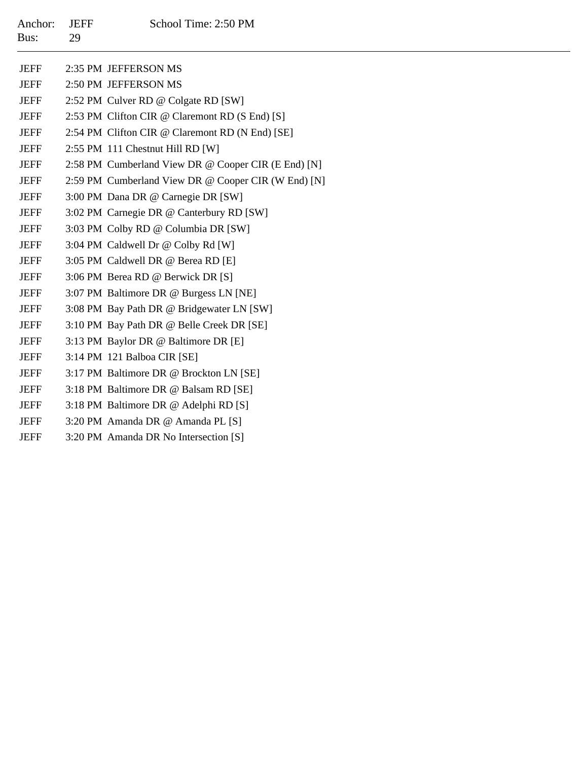| Anchor:<br>Bus: | <b>JEFF</b><br>29 | School Time: 2:50 PM                                |
|-----------------|-------------------|-----------------------------------------------------|
|                 |                   |                                                     |
| <b>JEFF</b>     |                   | 2:35 PM JEFFERSON MS                                |
| <b>JEFF</b>     |                   | 2:50 PM JEFFERSON MS                                |
| <b>JEFF</b>     |                   | 2:52 PM Culver RD @ Colgate RD [SW]                 |
| <b>JEFF</b>     |                   | 2:53 PM Clifton CIR @ Claremont RD (S End) [S]      |
| <b>JEFF</b>     |                   | 2:54 PM Clifton CIR @ Claremont RD (N End) [SE]     |
| <b>JEFF</b>     |                   | 2:55 PM 111 Chestnut Hill RD [W]                    |
| <b>JEFF</b>     |                   | 2:58 PM Cumberland View DR @ Cooper CIR (E End) [N] |
| JEFF            |                   | 2:59 PM Cumberland View DR @ Cooper CIR (W End) [N] |
| <b>JEFF</b>     |                   | 3:00 PM Dana DR @ Carnegie DR [SW]                  |
| <b>JEFF</b>     |                   | 3:02 PM Carnegie DR @ Canterbury RD [SW]            |
| <b>JEFF</b>     |                   | 3:03 PM Colby RD @ Columbia DR [SW]                 |
| <b>JEFF</b>     |                   | 3:04 PM Caldwell Dr @ Colby Rd [W]                  |
| <b>JEFF</b>     |                   | 3:05 PM Caldwell DR @ Berea RD [E]                  |
| <b>JEFF</b>     |                   | 3:06 PM Berea RD @ Berwick DR [S]                   |
| JEFF            |                   | 3:07 PM Baltimore DR @ Burgess LN [NE]              |
| <b>JEFF</b>     |                   | 3:08 PM Bay Path DR @ Bridgewater LN [SW]           |
| <b>JEFF</b>     |                   | 3:10 PM Bay Path DR @ Belle Creek DR [SE]           |
| <b>JEFF</b>     |                   | 3:13 PM Baylor DR @ Baltimore DR [E]                |
| <b>JEFF</b>     |                   | 3:14 PM 121 Balboa CIR [SE]                         |
| <b>JEFF</b>     |                   | 3:17 PM Baltimore DR @ Brockton LN [SE]             |
| JEFF            |                   | 3:18 PM Baltimore DR @ Balsam RD [SE]               |
| <b>JEFF</b>     |                   | 3:18 PM Baltimore DR @ Adelphi RD [S]               |
| <b>JEFF</b>     |                   | 3:20 PM Amanda DR @ Amanda PL [S]                   |
| <b>JEFF</b>     |                   | 3:20 PM Amanda DR No Intersection [S]               |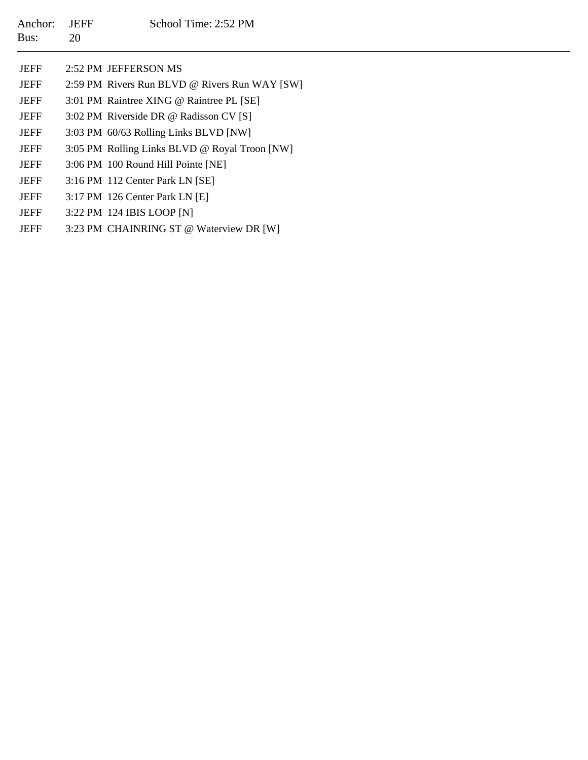| Anchor:<br>Bus: | <b>JEFF</b><br>20 | School Time: 2:52 PM                          |
|-----------------|-------------------|-----------------------------------------------|
| <b>JEFF</b>     |                   | 2:52 PM JEFFERSON MS                          |
| <b>JEFF</b>     |                   | 2:59 PM Rivers Run BLVD @ Rivers Run WAY [SW] |
| <b>JEFF</b>     |                   | 3:01 PM Raintree XING @ Raintree PL [SE]      |
| <b>JEFF</b>     |                   | 3:02 PM Riverside DR @ Radisson CV [S]        |
| JEFF            |                   | 3:03 PM 60/63 Rolling Links BLVD [NW]         |
| <b>JEFF</b>     |                   | 3:05 PM Rolling Links BLVD @ Royal Troon [NW] |
| <b>JEFF</b>     |                   | 3:06 PM 100 Round Hill Pointe [NE]            |
| <b>JEFF</b>     |                   | 3:16 PM 112 Center Park LN [SE]               |
| <b>JEFF</b>     |                   | 3:17 PM 126 Center Park LN [E]                |
| <b>JEFF</b>     |                   | 3:22 PM 124 IBIS LOOP [N]                     |
| <b>JEFF</b>     |                   | 3:23 PM CHAINRING ST @ Waterview DR [W]       |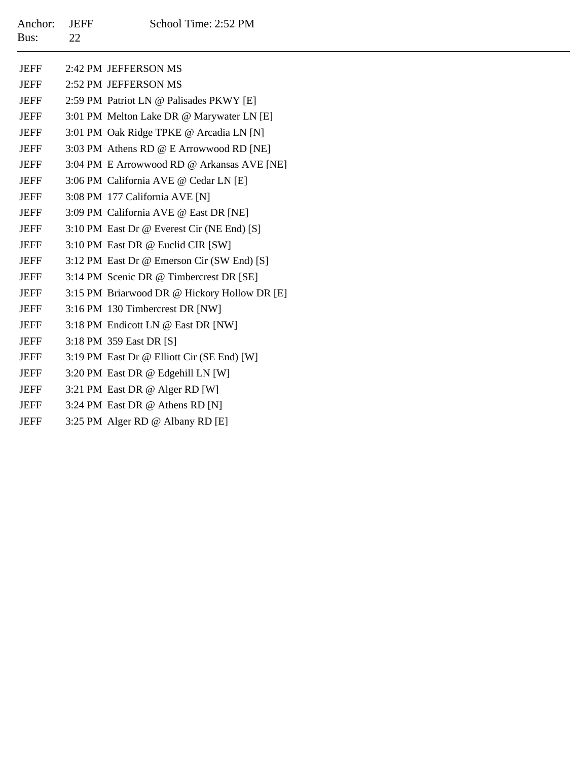| Anchor:<br>Bus: | <b>JEFF</b><br>22 | School Time: 2:52 PM                         |
|-----------------|-------------------|----------------------------------------------|
| <b>JEFF</b>     |                   | 2:42 PM JEFFERSON MS                         |
| <b>JEFF</b>     |                   | 2:52 PM JEFFERSON MS                         |
| <b>JEFF</b>     |                   | 2:59 PM Patriot LN @ Palisades PKWY [E]      |
| <b>JEFF</b>     |                   | 3:01 PM Melton Lake DR @ Marywater LN [E]    |
| <b>JEFF</b>     |                   | 3:01 PM Oak Ridge TPKE @ Arcadia LN [N]      |
| <b>JEFF</b>     |                   | 3:03 PM Athens RD @ E Arrowwood RD [NE]      |
| <b>JEFF</b>     |                   | 3:04 PM E Arrowwood RD @ Arkansas AVE [NE]   |
| <b>JEFF</b>     |                   | 3:06 PM California AVE @ Cedar LN [E]        |
| <b>JEFF</b>     |                   | 3:08 PM 177 California AVE [N]               |
| <b>JEFF</b>     |                   | 3:09 PM California AVE @ East DR [NE]        |
| <b>JEFF</b>     |                   | 3:10 PM East Dr @ Everest Cir (NE End) [S]   |
| <b>JEFF</b>     |                   | 3:10 PM East DR @ Euclid CIR [SW]            |
| <b>JEFF</b>     |                   | 3:12 PM East Dr @ Emerson Cir (SW End) [S]   |
| <b>JEFF</b>     |                   | 3:14 PM Scenic DR @ Timbercrest DR [SE]      |
| <b>JEFF</b>     |                   | 3:15 PM Briarwood DR @ Hickory Hollow DR [E] |
| <b>JEFF</b>     |                   | 3:16 PM 130 Timbercrest DR [NW]              |
| <b>JEFF</b>     |                   | 3:18 PM Endicott LN @ East DR [NW]           |
| <b>JEFF</b>     |                   | 3:18 PM 359 East DR [S]                      |
| <b>JEFF</b>     |                   | 3:19 PM East Dr @ Elliott Cir (SE End) [W]   |
| <b>JEFF</b>     |                   | 3:20 PM East DR @ Edgehill LN [W]            |
| <b>JEFF</b>     |                   | 3:21 PM East DR @ Alger RD [W]               |
| <b>JEFF</b>     |                   | 3:24 PM East DR @ Athens RD [N]              |
| <b>JEFF</b>     |                   | 3:25 PM Alger RD @ Albany RD [E]             |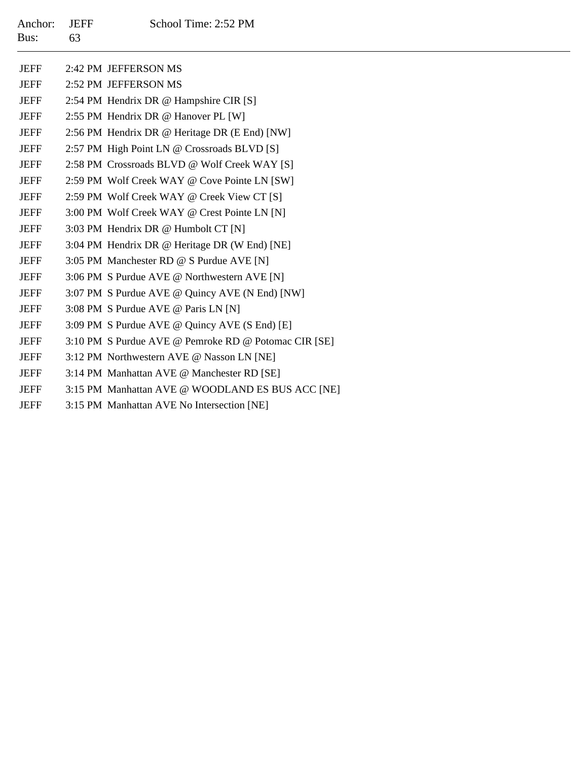| Anchor:<br>Bus: | <b>JEFF</b><br>63 | School Time: 2:52 PM                                 |  |  |
|-----------------|-------------------|------------------------------------------------------|--|--|
| <b>JEFF</b>     |                   | 2:42 PM JEFFERSON MS                                 |  |  |
| <b>JEFF</b>     |                   | 2:52 PM JEFFERSON MS                                 |  |  |
| <b>JEFF</b>     |                   | 2:54 PM Hendrix DR @ Hampshire CIR [S]               |  |  |
| <b>JEFF</b>     |                   | 2:55 PM Hendrix DR @ Hanover PL [W]                  |  |  |
| <b>JEFF</b>     |                   | 2:56 PM Hendrix DR @ Heritage DR (E End) [NW]        |  |  |
| <b>JEFF</b>     |                   | 2:57 PM High Point LN @ Crossroads BLVD [S]          |  |  |
| <b>JEFF</b>     |                   | 2:58 PM Crossroads BLVD @ Wolf Creek WAY [S]         |  |  |
| <b>JEFF</b>     |                   | 2:59 PM Wolf Creek WAY @ Cove Pointe LN [SW]         |  |  |
| <b>JEFF</b>     |                   | 2:59 PM Wolf Creek WAY @ Creek View CT [S]           |  |  |
| <b>JEFF</b>     |                   | 3:00 PM Wolf Creek WAY @ Crest Pointe LN [N]         |  |  |
| <b>JEFF</b>     |                   | 3:03 PM Hendrix DR @ Humbolt CT [N]                  |  |  |
| <b>JEFF</b>     |                   | 3:04 PM Hendrix DR @ Heritage DR (W End) [NE]        |  |  |
| <b>JEFF</b>     |                   | 3:05 PM Manchester RD @ S Purdue AVE [N]             |  |  |
| <b>JEFF</b>     |                   | 3:06 PM S Purdue AVE @ Northwestern AVE [N]          |  |  |
| <b>JEFF</b>     |                   | 3:07 PM S Purdue AVE @ Quincy AVE (N End) [NW]       |  |  |
| <b>JEFF</b>     |                   | 3:08 PM S Purdue AVE @ Paris LN [N]                  |  |  |
| <b>JEFF</b>     |                   | 3:09 PM S Purdue AVE @ Quincy AVE (S End) [E]        |  |  |
| <b>JEFF</b>     |                   | 3:10 PM S Purdue AVE @ Pemroke RD @ Potomac CIR [SE] |  |  |
| <b>JEFF</b>     |                   | 3:12 PM Northwestern AVE @ Nasson LN [NE]            |  |  |
| <b>JEFF</b>     |                   | 3:14 PM Manhattan AVE @ Manchester RD [SE]           |  |  |
| <b>JEFF</b>     |                   | 3:15 PM Manhattan AVE @ WOODLAND ES BUS ACC [NE]     |  |  |
| <b>JEFF</b>     |                   | 3:15 PM Manhattan AVE No Intersection [NE]           |  |  |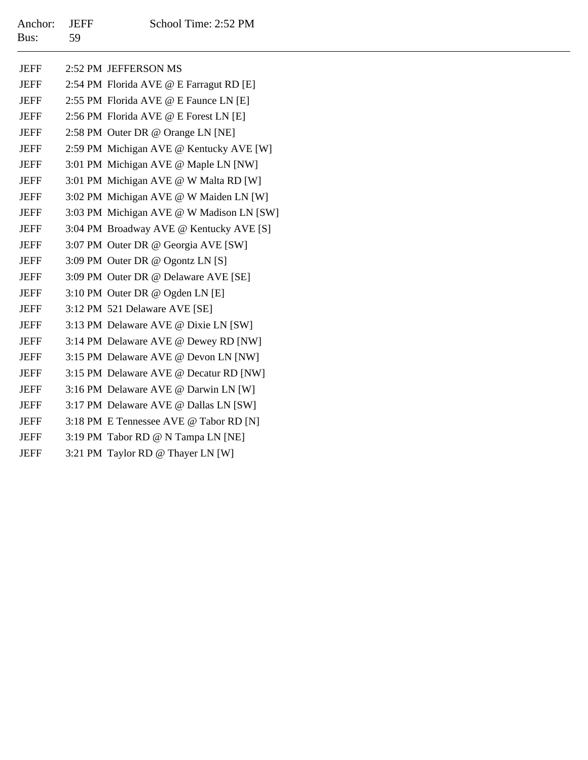| Anchor: JEFF |      | School Time: 2:52 PM |
|--------------|------|----------------------|
| Bus:         | - 59 |                      |

| <b>JEFF</b> | 2:52 PM JEFFERSON MS                     |
|-------------|------------------------------------------|
| <b>JEFF</b> | 2:54 PM Florida AVE @ E Farragut RD [E]  |
| <b>JEFF</b> | 2:55 PM Florida AVE @ E Faunce LN [E]    |
| <b>JEFF</b> | 2:56 PM Florida AVE @ E Forest LN [E]    |
| <b>JEFF</b> | 2:58 PM Outer DR @ Orange LN [NE]        |
| <b>JEFF</b> | 2:59 PM Michigan AVE @ Kentucky AVE [W]  |
| <b>JEFF</b> | 3:01 PM Michigan AVE @ Maple LN [NW]     |
| <b>JEFF</b> | 3:01 PM Michigan AVE @ W Malta RD [W]    |
| <b>JEFF</b> | 3:02 PM Michigan AVE @ W Maiden LN [W]   |
| <b>JEFF</b> | 3:03 PM Michigan AVE @ W Madison LN [SW] |
| <b>JEFF</b> | 3:04 PM Broadway AVE @ Kentucky AVE [S]  |
| <b>JEFF</b> | 3:07 PM Outer DR @ Georgia AVE [SW]      |
| <b>JEFF</b> | 3:09 PM Outer DR @ Ogontz LN [S]         |
| <b>JEFF</b> | 3:09 PM Outer DR @ Delaware AVE [SE]     |
| <b>JEFF</b> | 3:10 PM Outer DR @ Ogden LN [E]          |
| <b>JEFF</b> | 3:12 PM 521 Delaware AVE [SE]            |
| <b>JEFF</b> | 3:13 PM Delaware AVE @ Dixie LN [SW]     |
| <b>JEFF</b> | 3:14 PM Delaware AVE @ Dewey RD [NW]     |
| <b>JEFF</b> | 3:15 PM Delaware AVE @ Devon LN [NW]     |
| <b>JEFF</b> | 3:15 PM Delaware AVE @ Decatur RD [NW]   |
| <b>JEFF</b> | 3:16 PM Delaware AVE @ Darwin LN [W]     |
| <b>JEFF</b> | 3:17 PM Delaware AVE @ Dallas LN [SW]    |
| <b>JEFF</b> | 3:18 PM E Tennessee AVE @ Tabor RD [N]   |
| <b>JEFF</b> | 3:19 PM Tabor RD @ N Tampa LN [NE]       |
| <b>JEFF</b> | 3:21 PM Taylor RD @ Thayer LN [W]        |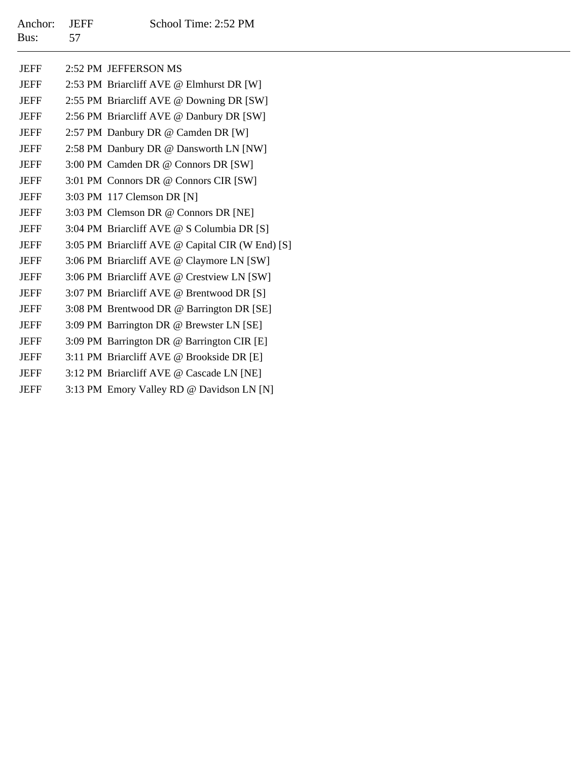| Anchor: JEFF |    | School Time: 2:52 PM |
|--------------|----|----------------------|
| Bus:         | 57 |                      |

|  |  | School Time: 2:52 F |  |
|--|--|---------------------|--|
|  |  |                     |  |

| JEFF        | 2:52 PM JEFFERSON MS                             |
|-------------|--------------------------------------------------|
| <b>JEFF</b> | 2:53 PM Briarcliff AVE @ Elmhurst DR [W]         |
| <b>JEFF</b> | 2:55 PM Briarcliff AVE @ Downing DR [SW]         |
| <b>JEFF</b> | 2:56 PM Briarcliff AVE @ Danbury DR [SW]         |
| <b>JEFF</b> | 2:57 PM Danbury DR @ Camden DR [W]               |
| <b>JEFF</b> | 2:58 PM Danbury DR @ Dansworth LN [NW]           |
| <b>JEFF</b> | 3:00 PM Camden DR @ Connors DR [SW]              |
| <b>JEFF</b> | 3:01 PM Connors DR @ Connors CIR [SW]            |
| <b>JEFF</b> | 3:03 PM 117 Clemson DR [N]                       |
| <b>JEFF</b> | 3:03 PM Clemson DR @ Connors DR [NE]             |
| <b>JEFF</b> | 3:04 PM Briarcliff AVE @ S Columbia DR [S]       |
| <b>JEFF</b> | 3:05 PM Briarcliff AVE @ Capital CIR (W End) [S] |
| <b>JEFF</b> | 3:06 PM Briarcliff AVE @ Claymore LN [SW]        |
| <b>JEFF</b> | 3:06 PM Briarcliff AVE @ Crestview LN [SW]       |
| <b>JEFF</b> | 3:07 PM Briarcliff AVE @ Brentwood DR [S]        |
| <b>JEFF</b> | 3:08 PM Brentwood DR @ Barrington DR [SE]        |
| <b>JEFF</b> | 3:09 PM Barrington DR @ Brewster LN [SE]         |
| <b>JEFF</b> | 3:09 PM Barrington DR @ Barrington CIR [E]       |
| <b>JEFF</b> | 3:11 PM Briarcliff AVE @ Brookside DR [E]        |
| <b>JEFF</b> | 3:12 PM Briarcliff AVE @ Cascade LN [NE]         |
| <b>JEFF</b> | 3:13 PM Emory Valley RD @ Davidson LN [N]        |
|             |                                                  |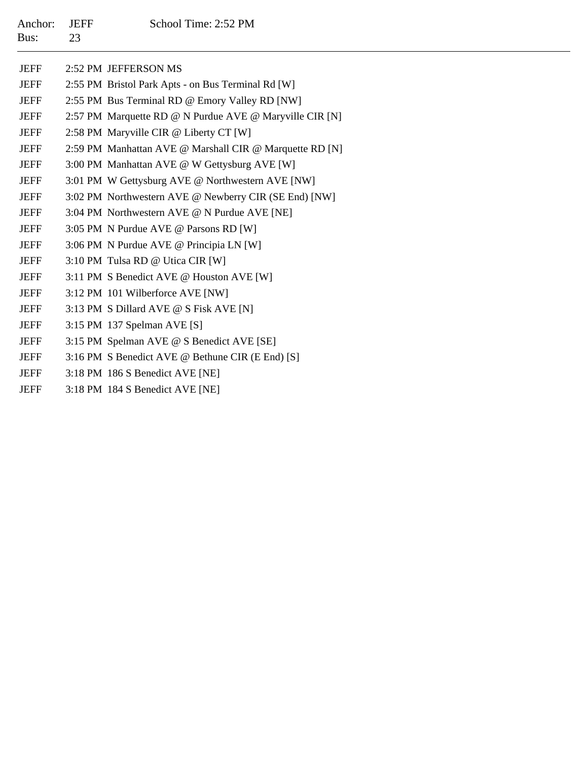| Anchor:<br>Bus: | <b>JEFF</b><br>23 | School Time: 2:52 PM                                    |
|-----------------|-------------------|---------------------------------------------------------|
|                 |                   |                                                         |
| <b>JEFF</b>     |                   | 2:52 PM JEFFERSON MS                                    |
| <b>JEFF</b>     |                   | 2:55 PM Bristol Park Apts - on Bus Terminal Rd [W]      |
| <b>JEFF</b>     |                   | 2:55 PM Bus Terminal RD @ Emory Valley RD [NW]          |
| <b>JEFF</b>     |                   | 2:57 PM Marquette RD @ N Purdue AVE @ Maryville CIR [N] |
| <b>JEFF</b>     |                   | 2:58 PM Maryville CIR @ Liberty CT [W]                  |
| <b>JEFF</b>     |                   | 2:59 PM Manhattan AVE @ Marshall CIR @ Marquette RD [N] |
| <b>JEFF</b>     |                   | 3:00 PM Manhattan AVE @ W Gettysburg AVE [W]            |
| <b>JEFF</b>     |                   | 3:01 PM W Gettysburg AVE @ Northwestern AVE [NW]        |
| <b>JEFF</b>     |                   | 3:02 PM Northwestern AVE @ Newberry CIR (SE End) [NW]   |
| <b>JEFF</b>     |                   | 3:04 PM Northwestern AVE @ N Purdue AVE [NE]            |
| <b>JEFF</b>     |                   | 3:05 PM N Purdue AVE @ Parsons RD [W]                   |
| <b>JEFF</b>     |                   | 3:06 PM N Purdue AVE @ Principia LN [W]                 |
| <b>JEFF</b>     |                   | 3:10 PM Tulsa RD @ Utica CIR [W]                        |
| <b>JEFF</b>     |                   | 3:11 PM S Benedict AVE @ Houston AVE [W]                |
| <b>JEFF</b>     |                   | 3:12 PM 101 Wilberforce AVE [NW]                        |
| <b>JEFF</b>     |                   | 3:13 PM S Dillard AVE @ S Fisk AVE [N]                  |
| <b>JEFF</b>     |                   | 3:15 PM 137 Spelman AVE [S]                             |
| <b>JEFF</b>     |                   | 3:15 PM Spelman AVE @ S Benedict AVE [SE]               |
| <b>JEFF</b>     |                   | 3:16 PM S Benedict AVE @ Bethune CIR (E End) [S]        |
| <b>JEFF</b>     |                   | 3:18 PM 186 S Benedict AVE [NE]                         |

JEFF3:18 PM 184 S Benedict AVE [NE]